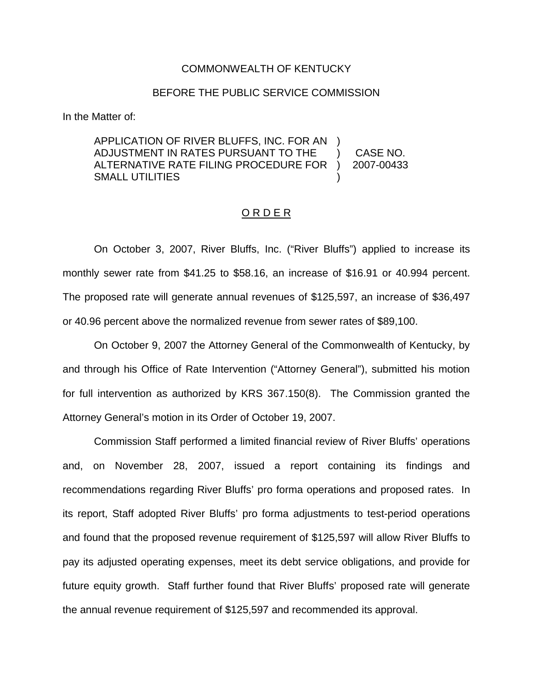## COMMONWEALTH OF KENTUCKY

## BEFORE THE PUBLIC SERVICE COMMISSION

In the Matter of:

#### APPLICATION OF RIVER BLUFFS, INC. FOR AN ) ADJUSTMENT IN RATES PURSUANT TO THE ALTERNATIVE RATE FILING PROCEDURE FOR SMALL UTILITIES ) ) ) CASE NO. 2007-00433

### O R D E R

On October 3, 2007, River Bluffs, Inc. ("River Bluffs") applied to increase its monthly sewer rate from \$41.25 to \$58.16, an increase of \$16.91 or 40.994 percent. The proposed rate will generate annual revenues of \$125,597, an increase of \$36,497 or 40.96 percent above the normalized revenue from sewer rates of \$89,100.

On October 9, 2007 the Attorney General of the Commonwealth of Kentucky, by and through his Office of Rate Intervention ("Attorney General"), submitted his motion for full intervention as authorized by KRS 367.150(8). The Commission granted the Attorney General's motion in its Order of October 19, 2007.

Commission Staff performed a limited financial review of River Bluffs' operations and, on November 28, 2007, issued a report containing its findings and recommendations regarding River Bluffs' pro forma operations and proposed rates. In its report, Staff adopted River Bluffs' pro forma adjustments to test-period operations and found that the proposed revenue requirement of \$125,597 will allow River Bluffs to pay its adjusted operating expenses, meet its debt service obligations, and provide for future equity growth. Staff further found that River Bluffs' proposed rate will generate the annual revenue requirement of \$125,597 and recommended its approval.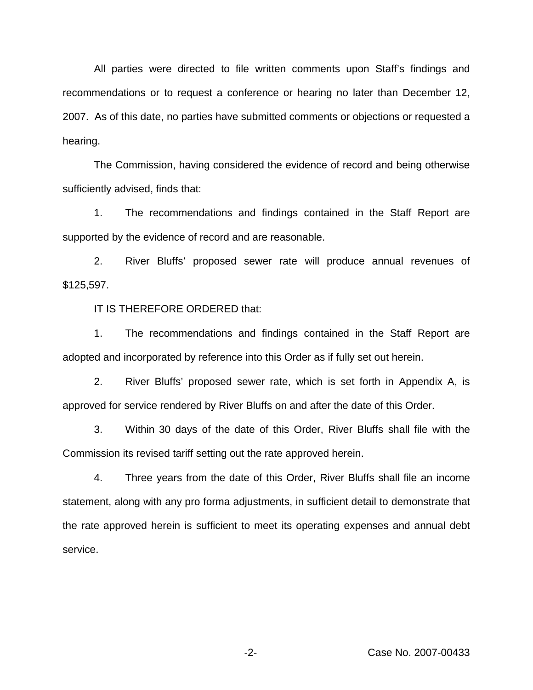All parties were directed to file written comments upon Staff's findings and recommendations or to request a conference or hearing no later than December 12, 2007. As of this date, no parties have submitted comments or objections or requested a hearing.

The Commission, having considered the evidence of record and being otherwise sufficiently advised, finds that:

1. The recommendations and findings contained in the Staff Report are supported by the evidence of record and are reasonable.

2. River Bluffs' proposed sewer rate will produce annual revenues of \$125,597.

IT IS THEREFORE ORDERED that:

1. The recommendations and findings contained in the Staff Report are adopted and incorporated by reference into this Order as if fully set out herein.

2. River Bluffs' proposed sewer rate, which is set forth in Appendix A, is approved for service rendered by River Bluffs on and after the date of this Order.

3. Within 30 days of the date of this Order, River Bluffs shall file with the Commission its revised tariff setting out the rate approved herein.

4. Three years from the date of this Order, River Bluffs shall file an income statement, along with any pro forma adjustments, in sufficient detail to demonstrate that the rate approved herein is sufficient to meet its operating expenses and annual debt service.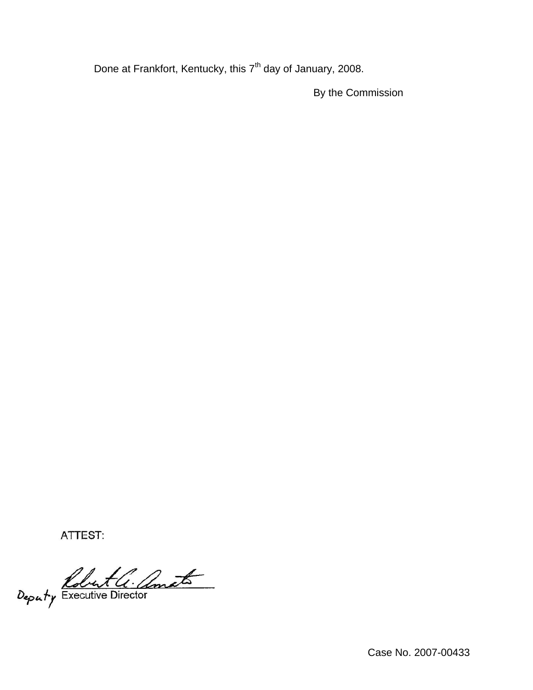Done at Frankfort, Kentucky, this 7<sup>th</sup> day of January, 2008.

By the Commission

ATTEST:

Deputy Executive Director